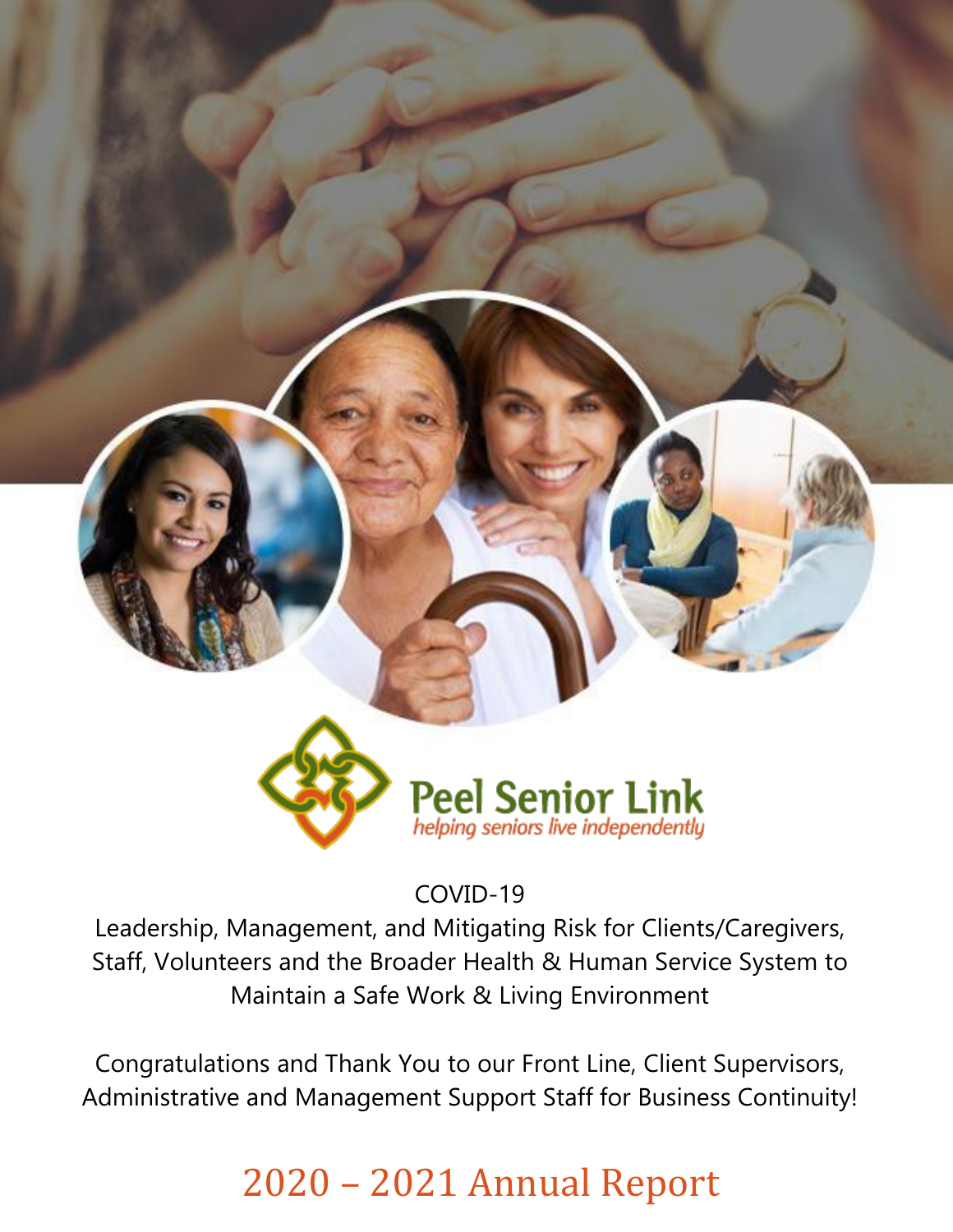

COVID-19

Leadership, Management, and Mitigating Risk for Clients/Caregivers, Staff, Volunteers and the Broader Health & Human Service System to Maintain a Safe Work & Living Environment

Congratulations and Thank You to our Front Line, Client Supervisors, Administrative and Management Support Staff for Business Continuity!

## 2020 – 2021 Annual Report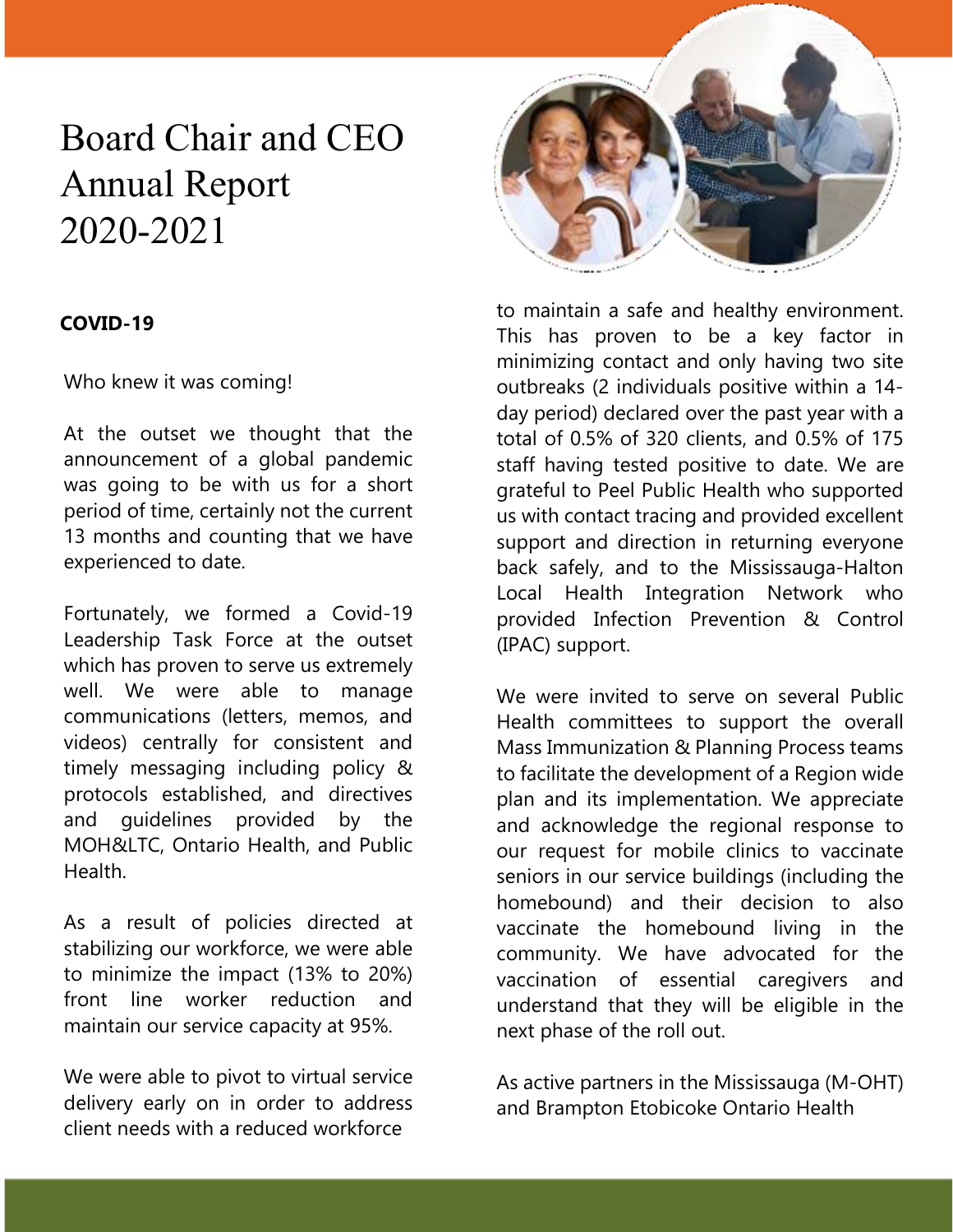## Board Chair and CEO Annual Report 2020-2021

#### **COVID-19**

Who knew it was coming!

At the outset we thought that the announcement of a global pandemic was going to be with us for a short period of time, certainly not the current 13 months and counting that we have experienced to date.

Fortunately, we formed a Covid-19 Leadership Task Force at the outset which has proven to serve us extremely well. We were able to manage communications (letters, memos, and videos) centrally for consistent and timely messaging including policy & protocols established, and directives and guidelines provided by the MOH&LTC, Ontario Health, and Public Health.

As a result of policies directed at stabilizing our workforce, we were able to minimize the impact (13% to 20%) front line worker reduction and maintain our service capacity at 95%.

We were able to pivot to virtual service delivery early on in order to address client needs with a reduced workforce



to maintain a safe and healthy environment. This has proven to be a key factor in minimizing contact and only having two site outbreaks (2 individuals positive within a 14 day period) declared over the past year with a total of 0.5% of 320 clients, and 0.5% of 175 staff having tested positive to date. We are grateful to Peel Public Health who supported us with contact tracing and provided excellent support and direction in returning everyone back safely, and to the Mississauga-Halton Local Health Integration Network who provided Infection Prevention & Control (IPAC) support.

We were invited to serve on several Public Health committees to support the overall Mass Immunization & Planning Process teams to facilitate the development of a Region wide plan and its implementation. We appreciate and acknowledge the regional response to our request for mobile clinics to vaccinate seniors in our service buildings (including the homebound) and their decision to also vaccinate the homebound living in the community. We have advocated for the vaccination of essential caregivers and understand that they will be eligible in the next phase of the roll out.

As active partners in the Mississauga (M-OHT) and Brampton Etobicoke Ontario Health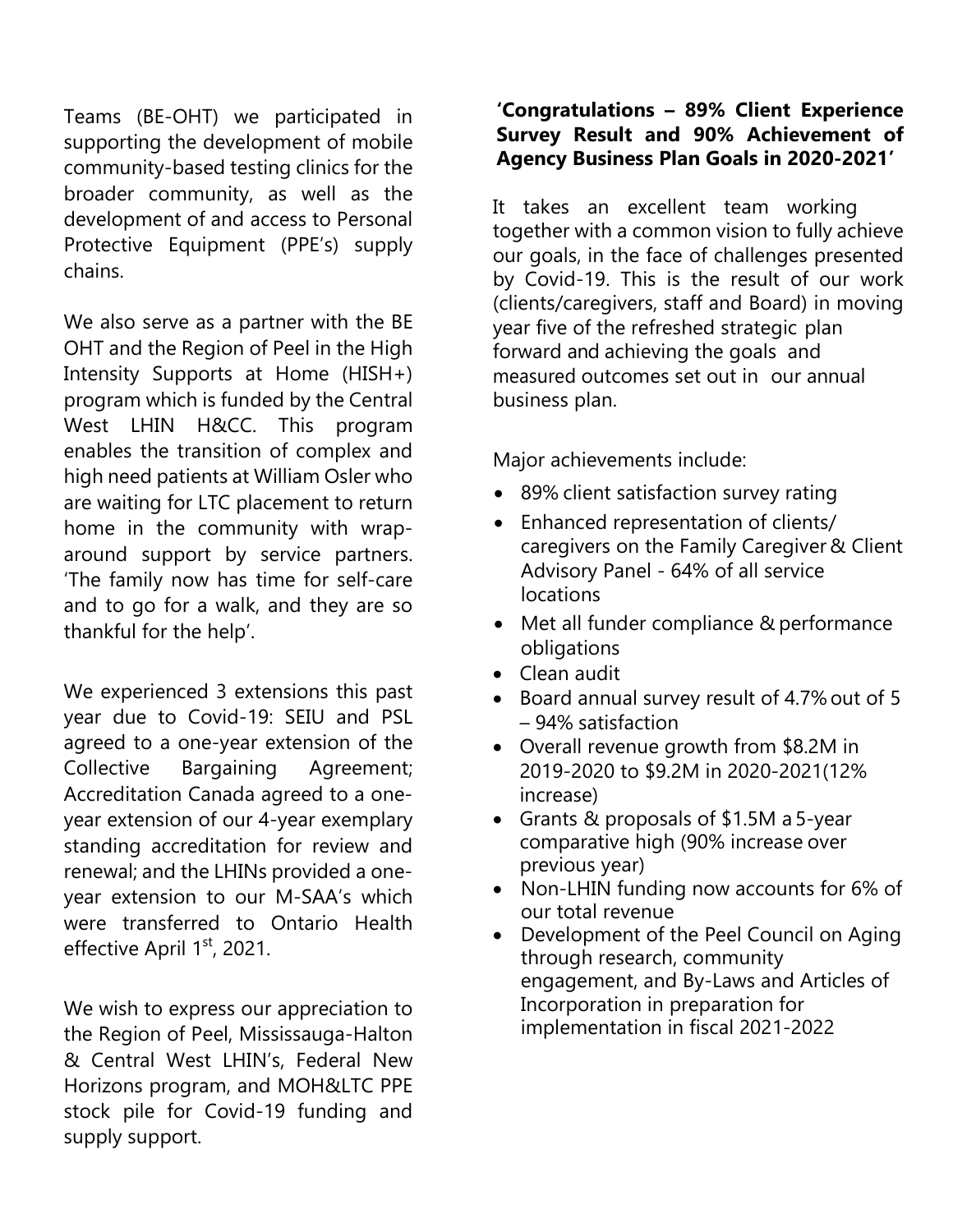Teams (BE-OHT) we participated in supporting the development of mobile community-based testing clinics for the broader community, as well as the development of and access to Personal Protective Equipment (PPE's) supply chains.

We also serve as a partner with the BE OHT and the Region of Peel in the High Intensity Supports at Home (HISH+) program which is funded by the Central West LHIN H&CC. This program enables the transition of complex and high need patients at William Osler who are waiting for LTC placement to return home in the community with wraparound support by service partners. 'The family now has time for self-care and to go for a walk, and they are so thankful for the help'.

We experienced 3 extensions this past year due to Covid-19: SEIU and PSL agreed to a one-year extension of the Collective Bargaining Agreement; Accreditation Canada agreed to a oneyear extension of our 4-year exemplary standing accreditation for review and renewal; and the LHINs provided a oneyear extension to our M-SAA's which were transferred to Ontario Health effective April 1<sup>st</sup>, 2021.

We wish to express our appreciation to the Region of Peel, Mississauga-Halton & Central West LHIN's, Federal New Horizons program, and MOH&LTC PPE stock pile for Covid-19 funding and supply support.

#### **'Congratulations – 89% Client Experience Survey Result and 90% Achievement of Agency Business Plan Goals in 2020-2021'**

It takes an excellent team working together with a common vision to fully achieve our goals, in the face of challenges presented by Covid-19. This is the result of our work (clients/caregivers, staff and Board) in moving year five of the refreshed strategic plan forward and achieving the goals and measured outcomes set out in our annual business plan.

Major achievements include:

- 89% client satisfaction survey rating
- Enhanced representation of clients/ caregivers on the Family Caregiver & Client Advisory Panel - 64% of all service locations
- Met all funder compliance & performance obligations
- Clean audit
- Board annual survey result of 4.7% out of 5 – 94% satisfaction
- Overall revenue growth from \$8.2M in 2019-2020 to \$9.2M in 2020-2021(12% increase)
- Grants & proposals of \$1.5M a 5-year comparative high (90% increase over previous year)
- Non-LHIN funding now accounts for 6% of our total revenue
- Development of the Peel Council on Aging through research, community engagement, and By-Laws and Articles of Incorporation in preparation for implementation in fiscal 2021-2022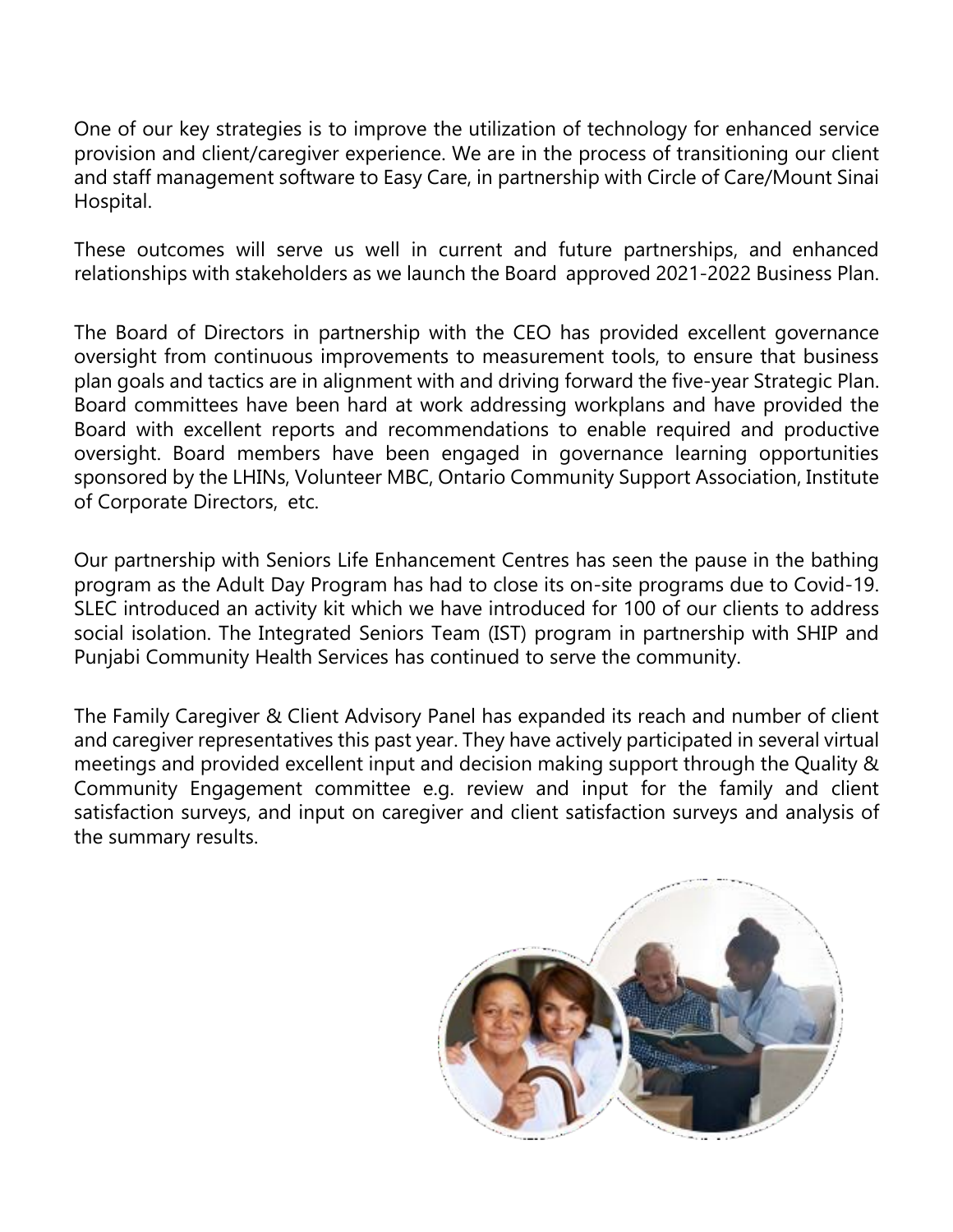One of our key strategies is to improve the utilization of technology for enhanced service provision and client/caregiver experience. We are in the process of transitioning our client and staff management software to Easy Care, in partnership with Circle of Care/Mount Sinai Hospital.

These outcomes will serve us well in current and future partnerships, and enhanced relationships with stakeholders as we launch the Board approved 2021-2022 Business Plan.

The Board of Directors in partnership with the CEO has provided excellent governance oversight from continuous improvements to measurement tools, to ensure that business plan goals and tactics are in alignment with and driving forward the five-year Strategic Plan. Board committees have been hard at work addressing workplans and have provided the Board with excellent reports and recommendations to enable required and productive oversight. Board members have been engaged in governance learning opportunities sponsored by the LHINs, Volunteer MBC, Ontario Community Support Association, Institute of Corporate Directors, etc.

Our partnership with Seniors Life Enhancement Centres has seen the pause in the bathing program as the Adult Day Program has had to close its on-site programs due to Covid-19. SLEC introduced an activity kit which we have introduced for 100 of our clients to address social isolation. The Integrated Seniors Team (IST) program in partnership with SHIP and Punjabi Community Health Services has continued to serve the community.

The Family Caregiver & Client Advisory Panel has expanded its reach and number of client and caregiver representatives this past year. They have actively participated in several virtual meetings and provided excellent input and decision making support through the Quality & Community Engagement committee e.g. review and input for the family and client satisfaction surveys, and input on caregiver and client satisfaction surveys and analysis of the summary results.

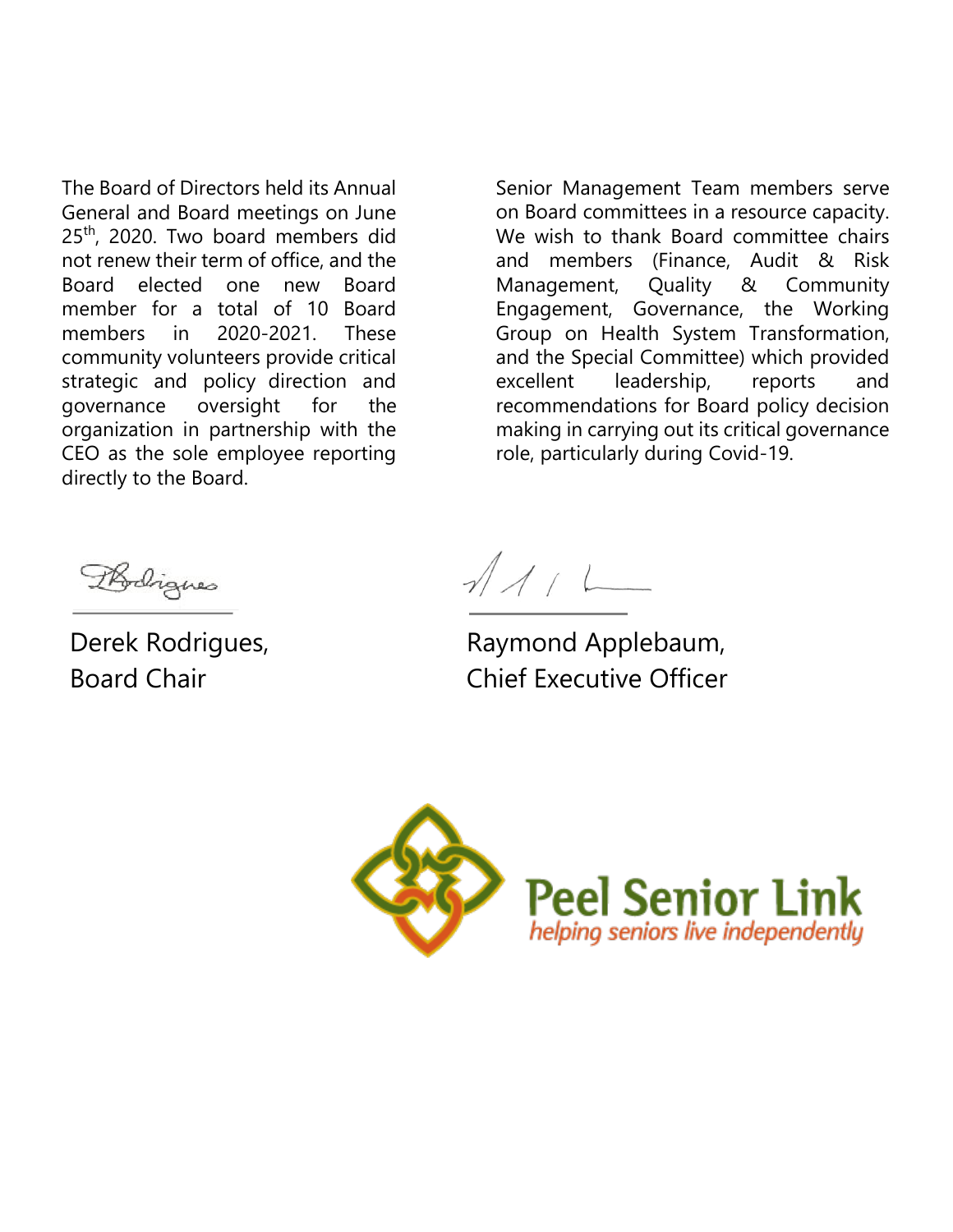The Board of Directors held its Annual General and Board meetings on June 25<sup>th</sup>, 2020. Two board members did not renew their term of office, and the Board elected one new Board member for a total of 10 Board members in 2020-2021. These community volunteers provide critical strategic and policy direction and governance oversight for the organization in partnership with the CEO as the sole employee reporting directly to the Board.

Senior Management Team members serve on Board committees in a resource capacity. We wish to thank Board committee chairs and members (Finance, Audit & Risk Management, Quality & Community Engagement, Governance, the Working Group on Health System Transformation, and the Special Committee) which provided excellent leadership, reports and recommendations for Board policy decision making in carrying out its critical governance role, particularly during Covid-19.

Rodrigues

Derek Rodrigues, Board Chair

 $1/11$ 

Raymond Applebaum, Chief Executive Officer

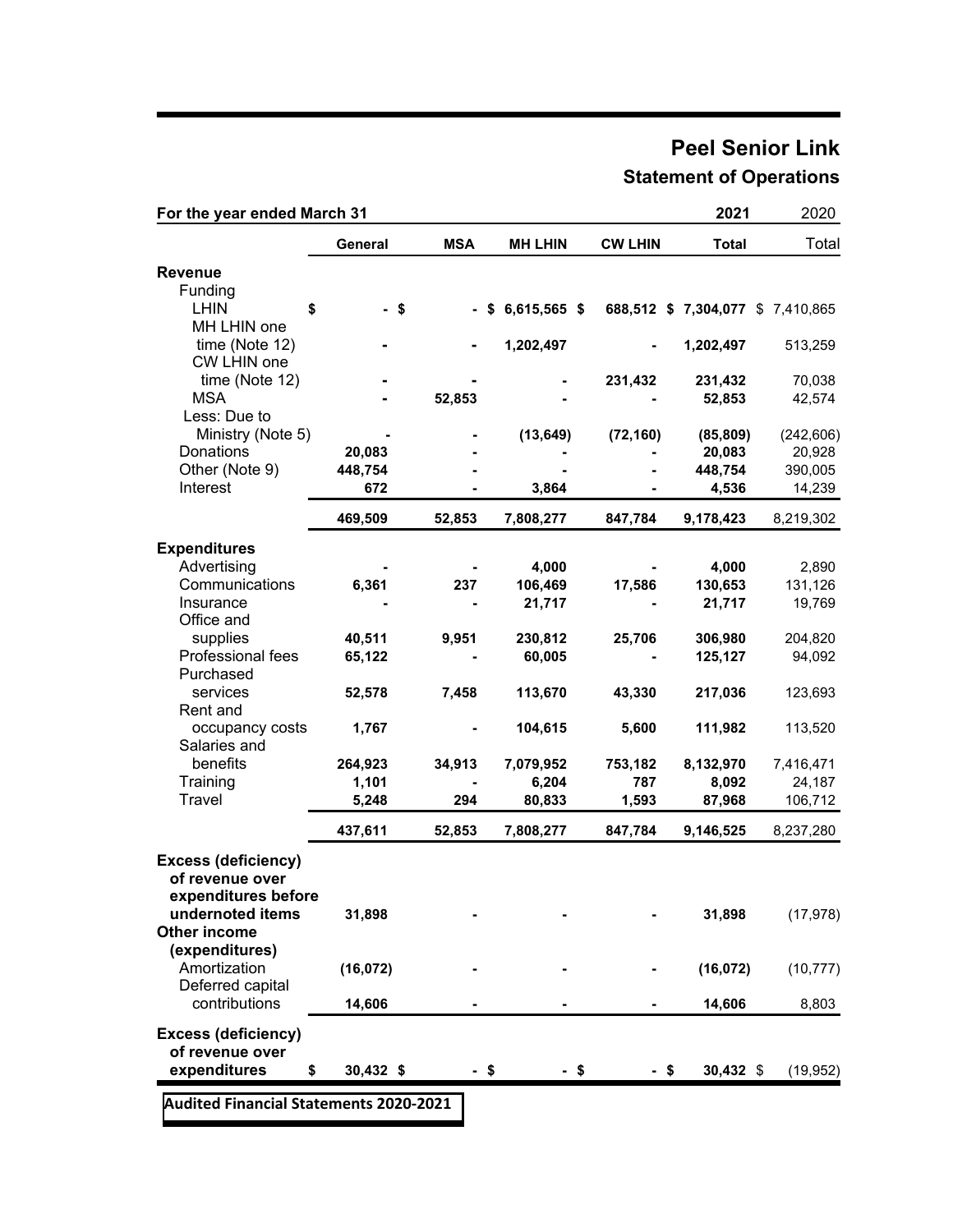### **Peel Senior Link Statement of Operations**

| General<br><b>MSA</b><br><b>MH LHIN</b><br><b>CW LHIN</b><br><b>Total</b><br><b>Revenue</b><br>Funding<br><b>LHIN</b><br>\$<br>- \$<br>$-$ \$ 6,615,565 \$<br>688,512 \$ 7,304,077 \$ 7,410,865<br>MH LHIN one<br>time (Note 12)<br>1,202,497<br>1,202,497<br>CW LHIN one<br>time (Note 12)<br>231,432<br>231,432<br><b>MSA</b><br>52,853<br>52,853<br>Less: Due to<br>Ministry (Note 5)<br>(13, 649)<br>(72, 160)<br>(85, 809)<br>Donations<br>20,083<br>20,083<br>Other (Note 9)<br>448,754<br>448,754<br>Interest<br>672<br>4,536<br>3,864<br>469,509<br>52,853<br>7,808,277<br>847,784<br>9,178,423<br><b>Expenditures</b><br>Advertising<br>4,000<br>4,000<br>Communications<br>6,361<br>237<br>106,469<br>17,586<br>130,653 |            |
|-----------------------------------------------------------------------------------------------------------------------------------------------------------------------------------------------------------------------------------------------------------------------------------------------------------------------------------------------------------------------------------------------------------------------------------------------------------------------------------------------------------------------------------------------------------------------------------------------------------------------------------------------------------------------------------------------------------------------------------|------------|
|                                                                                                                                                                                                                                                                                                                                                                                                                                                                                                                                                                                                                                                                                                                                   | Total      |
|                                                                                                                                                                                                                                                                                                                                                                                                                                                                                                                                                                                                                                                                                                                                   |            |
|                                                                                                                                                                                                                                                                                                                                                                                                                                                                                                                                                                                                                                                                                                                                   |            |
|                                                                                                                                                                                                                                                                                                                                                                                                                                                                                                                                                                                                                                                                                                                                   |            |
|                                                                                                                                                                                                                                                                                                                                                                                                                                                                                                                                                                                                                                                                                                                                   |            |
|                                                                                                                                                                                                                                                                                                                                                                                                                                                                                                                                                                                                                                                                                                                                   | 513,259    |
|                                                                                                                                                                                                                                                                                                                                                                                                                                                                                                                                                                                                                                                                                                                                   |            |
|                                                                                                                                                                                                                                                                                                                                                                                                                                                                                                                                                                                                                                                                                                                                   | 70,038     |
|                                                                                                                                                                                                                                                                                                                                                                                                                                                                                                                                                                                                                                                                                                                                   | 42,574     |
|                                                                                                                                                                                                                                                                                                                                                                                                                                                                                                                                                                                                                                                                                                                                   |            |
|                                                                                                                                                                                                                                                                                                                                                                                                                                                                                                                                                                                                                                                                                                                                   | (242, 606) |
|                                                                                                                                                                                                                                                                                                                                                                                                                                                                                                                                                                                                                                                                                                                                   | 20,928     |
|                                                                                                                                                                                                                                                                                                                                                                                                                                                                                                                                                                                                                                                                                                                                   | 390,005    |
|                                                                                                                                                                                                                                                                                                                                                                                                                                                                                                                                                                                                                                                                                                                                   | 14,239     |
|                                                                                                                                                                                                                                                                                                                                                                                                                                                                                                                                                                                                                                                                                                                                   | 8,219,302  |
|                                                                                                                                                                                                                                                                                                                                                                                                                                                                                                                                                                                                                                                                                                                                   |            |
|                                                                                                                                                                                                                                                                                                                                                                                                                                                                                                                                                                                                                                                                                                                                   | 2,890      |
|                                                                                                                                                                                                                                                                                                                                                                                                                                                                                                                                                                                                                                                                                                                                   | 131,126    |
| Insurance<br>21,717<br>21,717                                                                                                                                                                                                                                                                                                                                                                                                                                                                                                                                                                                                                                                                                                     | 19,769     |
| Office and                                                                                                                                                                                                                                                                                                                                                                                                                                                                                                                                                                                                                                                                                                                        |            |
| supplies<br>40,511<br>9,951<br>230,812<br>25,706<br>306,980                                                                                                                                                                                                                                                                                                                                                                                                                                                                                                                                                                                                                                                                       | 204,820    |
| Professional fees<br>60,005<br>65,122<br>125,127                                                                                                                                                                                                                                                                                                                                                                                                                                                                                                                                                                                                                                                                                  | 94,092     |
| Purchased                                                                                                                                                                                                                                                                                                                                                                                                                                                                                                                                                                                                                                                                                                                         |            |
| services<br>52,578<br>7,458<br>113,670<br>43,330<br>217,036                                                                                                                                                                                                                                                                                                                                                                                                                                                                                                                                                                                                                                                                       | 123,693    |
| Rent and                                                                                                                                                                                                                                                                                                                                                                                                                                                                                                                                                                                                                                                                                                                          |            |
| 104,615<br>111,982<br>occupancy costs<br>1,767<br>5,600                                                                                                                                                                                                                                                                                                                                                                                                                                                                                                                                                                                                                                                                           | 113,520    |
| Salaries and                                                                                                                                                                                                                                                                                                                                                                                                                                                                                                                                                                                                                                                                                                                      |            |
| benefits<br>264,923<br>8,132,970<br>34,913<br>7,079,952<br>753,182                                                                                                                                                                                                                                                                                                                                                                                                                                                                                                                                                                                                                                                                | 7,416,471  |
| Training<br>1,101<br>6,204<br>787<br>8,092                                                                                                                                                                                                                                                                                                                                                                                                                                                                                                                                                                                                                                                                                        | 24,187     |
| Travel<br>294<br>80,833<br>5,248<br>1,593<br>87,968                                                                                                                                                                                                                                                                                                                                                                                                                                                                                                                                                                                                                                                                               | 106,712    |
|                                                                                                                                                                                                                                                                                                                                                                                                                                                                                                                                                                                                                                                                                                                                   |            |
| 437,611<br>52,853<br>7,808,277<br>847,784<br>9,146,525                                                                                                                                                                                                                                                                                                                                                                                                                                                                                                                                                                                                                                                                            | 8,237,280  |
| <b>Excess (deficiency)</b>                                                                                                                                                                                                                                                                                                                                                                                                                                                                                                                                                                                                                                                                                                        |            |
| of revenue over                                                                                                                                                                                                                                                                                                                                                                                                                                                                                                                                                                                                                                                                                                                   |            |
| expenditures before                                                                                                                                                                                                                                                                                                                                                                                                                                                                                                                                                                                                                                                                                                               |            |
| undernoted items<br>31,898<br>31,898                                                                                                                                                                                                                                                                                                                                                                                                                                                                                                                                                                                                                                                                                              | (17, 978)  |
| Other income                                                                                                                                                                                                                                                                                                                                                                                                                                                                                                                                                                                                                                                                                                                      |            |
| (expenditures)                                                                                                                                                                                                                                                                                                                                                                                                                                                                                                                                                                                                                                                                                                                    |            |
| Amortization<br>(16, 072)<br>(16, 072)                                                                                                                                                                                                                                                                                                                                                                                                                                                                                                                                                                                                                                                                                            | (10, 777)  |
| Deferred capital                                                                                                                                                                                                                                                                                                                                                                                                                                                                                                                                                                                                                                                                                                                  |            |
| contributions<br>14,606<br>14,606                                                                                                                                                                                                                                                                                                                                                                                                                                                                                                                                                                                                                                                                                                 | 8,803      |
| <b>Excess (deficiency)</b>                                                                                                                                                                                                                                                                                                                                                                                                                                                                                                                                                                                                                                                                                                        |            |
| of revenue over                                                                                                                                                                                                                                                                                                                                                                                                                                                                                                                                                                                                                                                                                                                   |            |
| expenditures<br>$30,432$ \$<br>- \$<br>$-$ \$<br>$30,432$ \$<br>\$<br>-\$                                                                                                                                                                                                                                                                                                                                                                                                                                                                                                                                                                                                                                                         | (19, 952)  |

**[Audited Financial Statements 2020-2021](http://peelseniorlink.com/_content/uploads/2021/06/2021-Final-FS-Peel-Senior-Link-2021FS.pdf)**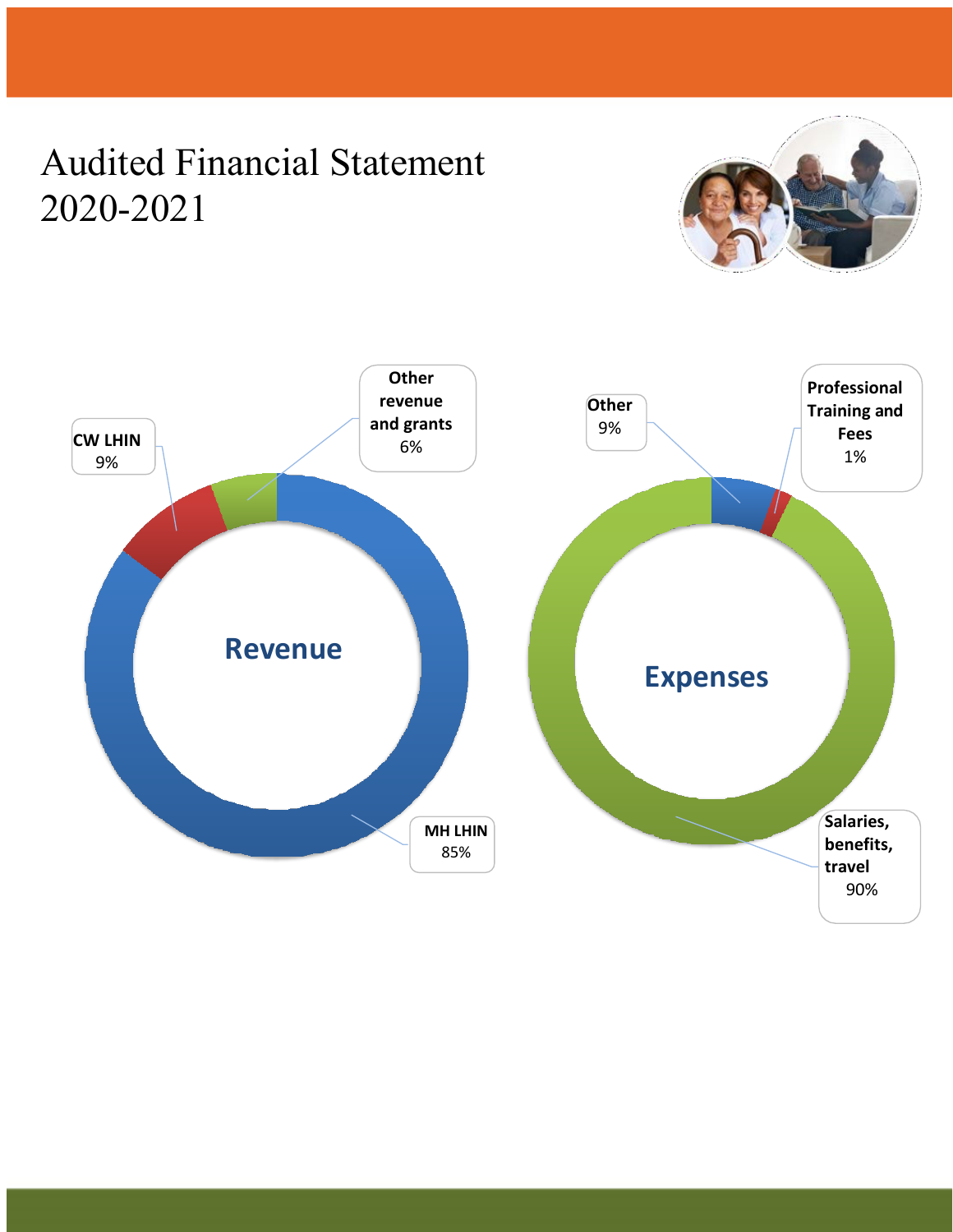## Audited Financial Statement 2020-2021



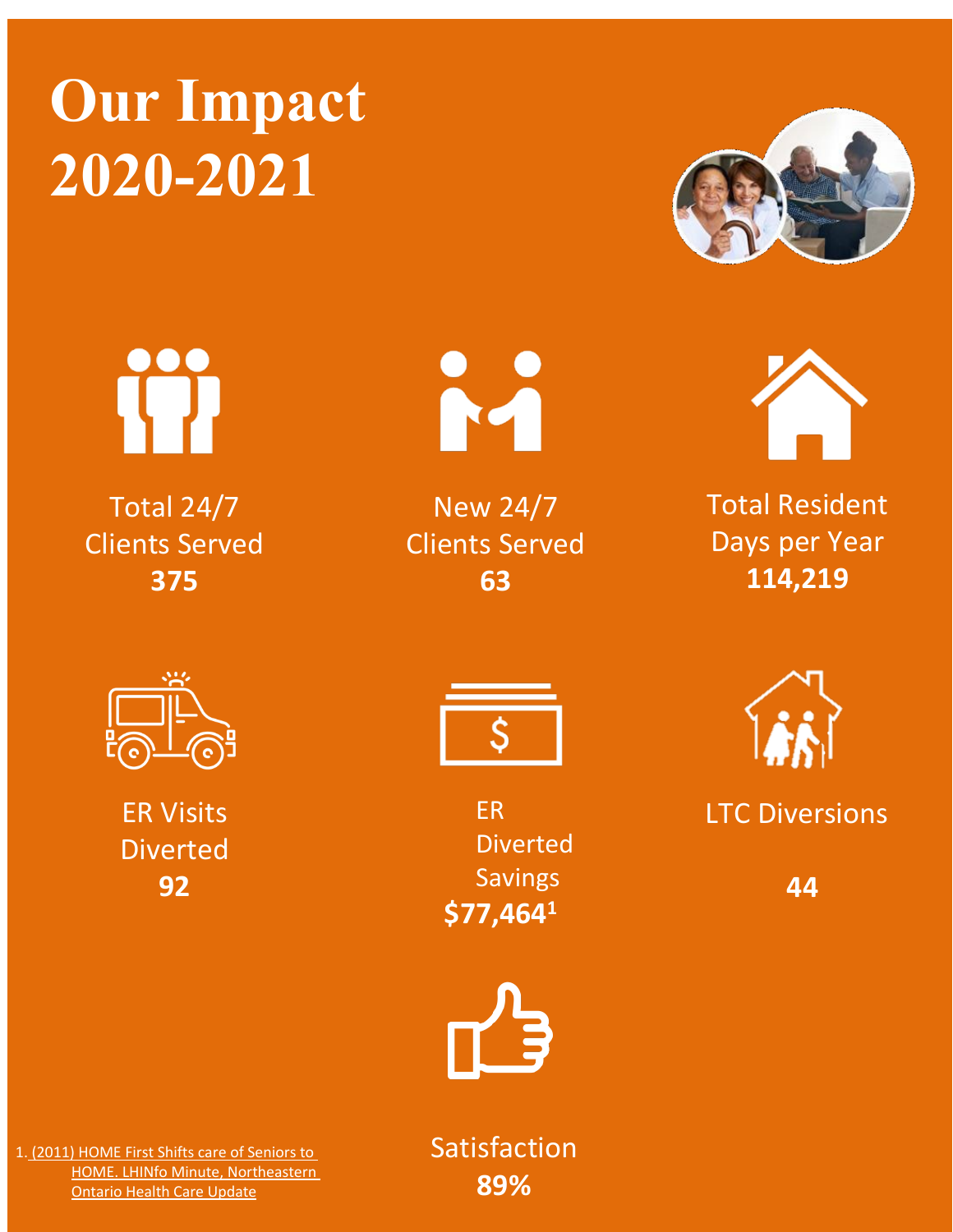# **Our Impact 2020-2021**



Total 24/7 Clients Served **375**



New 24/7 Clients Served **63**





Total Resident Days per Year **114,219**



ER Visits Diverted **92**



ER Diverted Savings **\$77,4641**



**44**



1. (2011) HOME First Shifts care of Seniors to HOME. LHINfo Minute, Northeastern Ontario Health Care Update

Satisfaction **89%**